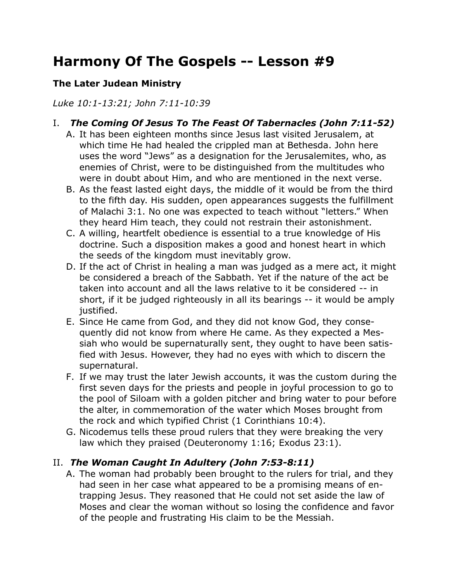# **Harmony Of The Gospels -- Lesson #9**

## **The Later Judean Ministry**

*Luke 10:1-13:21; John 7:11-10:39*

- I. *The Coming Of Jesus To The Feast Of Tabernacles (John 7:11-52)*
	- A. It has been eighteen months since Jesus last visited Jerusalem, at which time He had healed the crippled man at Bethesda. John here uses the word "Jews" as a designation for the Jerusalemites, who, as enemies of Christ, were to be distinguished from the multitudes who were in doubt about Him, and who are mentioned in the next verse.
	- B. As the feast lasted eight days, the middle of it would be from the third to the fifth day. His sudden, open appearances suggests the fulfillment of Malachi 3:1. No one was expected to teach without "letters." When they heard Him teach, they could not restrain their astonishment.
	- C. A willing, heartfelt obedience is essential to a true knowledge of His doctrine. Such a disposition makes a good and honest heart in which the seeds of the kingdom must inevitably grow.
	- D. If the act of Christ in healing a man was judged as a mere act, it might be considered a breach of the Sabbath. Yet if the nature of the act be taken into account and all the laws relative to it be considered -- in short, if it be judged righteously in all its bearings -- it would be amply justified.
	- E. Since He came from God, and they did not know God, they consequently did not know from where He came. As they expected a Messiah who would be supernaturally sent, they ought to have been satisfied with Jesus. However, they had no eyes with which to discern the supernatural.
	- F. If we may trust the later Jewish accounts, it was the custom during the first seven days for the priests and people in joyful procession to go to the pool of Siloam with a golden pitcher and bring water to pour before the alter, in commemoration of the water which Moses brought from the rock and which typified Christ (1 Corinthians 10:4).
	- G. Nicodemus tells these proud rulers that they were breaking the very law which they praised (Deuteronomy 1:16; Exodus 23:1).

# II. *The Woman Caught In Adultery (John 7:53-8:11)*

A. The woman had probably been brought to the rulers for trial, and they had seen in her case what appeared to be a promising means of entrapping Jesus. They reasoned that He could not set aside the law of Moses and clear the woman without so losing the confidence and favor of the people and frustrating His claim to be the Messiah.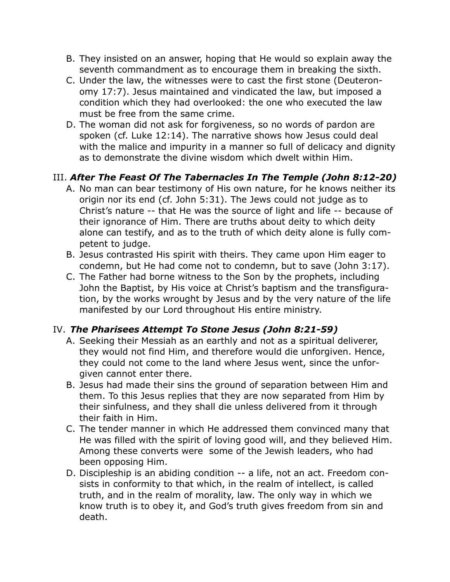- B. They insisted on an answer, hoping that He would so explain away the seventh commandment as to encourage them in breaking the sixth.
- C. Under the law, the witnesses were to cast the first stone (Deuteronomy 17:7). Jesus maintained and vindicated the law, but imposed a condition which they had overlooked: the one who executed the law must be free from the same crime.
- D. The woman did not ask for forgiveness, so no words of pardon are spoken (cf. Luke 12:14). The narrative shows how Jesus could deal with the malice and impurity in a manner so full of delicacy and dignity as to demonstrate the divine wisdom which dwelt within Him.

# III. *After The Feast Of The Tabernacles In The Temple (John 8:12-20)*

- A. No man can bear testimony of His own nature, for he knows neither its origin nor its end (cf. John 5:31). The Jews could not judge as to Christ's nature -- that He was the source of light and life -- because of their ignorance of Him. There are truths about deity to which deity alone can testify, and as to the truth of which deity alone is fully competent to judge.
- B. Jesus contrasted His spirit with theirs. They came upon Him eager to condemn, but He had come not to condemn, but to save (John 3:17).
- C. The Father had borne witness to the Son by the prophets, including John the Baptist, by His voice at Christ's baptism and the transfiguration, by the works wrought by Jesus and by the very nature of the life manifested by our Lord throughout His entire ministry.

# IV. *The Pharisees Attempt To Stone Jesus (John 8:21-59)*

- A. Seeking their Messiah as an earthly and not as a spiritual deliverer, they would not find Him, and therefore would die unforgiven. Hence, they could not come to the land where Jesus went, since the unforgiven cannot enter there.
- B. Jesus had made their sins the ground of separation between Him and them. To this Jesus replies that they are now separated from Him by their sinfulness, and they shall die unless delivered from it through their faith in Him.
- C. The tender manner in which He addressed them convinced many that He was filled with the spirit of loving good will, and they believed Him. Among these converts were some of the Jewish leaders, who had been opposing Him.
- D. Discipleship is an abiding condition -- a life, not an act. Freedom consists in conformity to that which, in the realm of intellect, is called truth, and in the realm of morality, law. The only way in which we know truth is to obey it, and God's truth gives freedom from sin and death.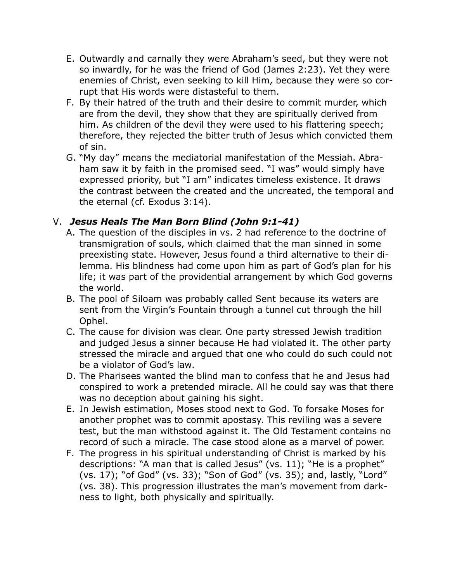- E. Outwardly and carnally they were Abraham's seed, but they were not so inwardly, for he was the friend of God (James 2:23). Yet they were enemies of Christ, even seeking to kill Him, because they were so corrupt that His words were distasteful to them.
- F. By their hatred of the truth and their desire to commit murder, which are from the devil, they show that they are spiritually derived from him. As children of the devil they were used to his flattering speech; therefore, they rejected the bitter truth of Jesus which convicted them of sin.
- G. "My day" means the mediatorial manifestation of the Messiah. Abraham saw it by faith in the promised seed. "I was" would simply have expressed priority, but "I am" indicates timeless existence. It draws the contrast between the created and the uncreated, the temporal and the eternal (cf. Exodus 3:14).

# V. *Jesus Heals The Man Born Blind (John 9:1-41)*

- A. The question of the disciples in vs. 2 had reference to the doctrine of transmigration of souls, which claimed that the man sinned in some preexisting state. However, Jesus found a third alternative to their dilemma. His blindness had come upon him as part of God's plan for his life; it was part of the providential arrangement by which God governs the world.
- B. The pool of Siloam was probably called Sent because its waters are sent from the Virgin's Fountain through a tunnel cut through the hill Ophel.
- C. The cause for division was clear. One party stressed Jewish tradition and judged Jesus a sinner because He had violated it. The other party stressed the miracle and argued that one who could do such could not be a violator of God's law.
- D. The Pharisees wanted the blind man to confess that he and Jesus had conspired to work a pretended miracle. All he could say was that there was no deception about gaining his sight.
- E. In Jewish estimation, Moses stood next to God. To forsake Moses for another prophet was to commit apostasy. This reviling was a severe test, but the man withstood against it. The Old Testament contains no record of such a miracle. The case stood alone as a marvel of power.
- F. The progress in his spiritual understanding of Christ is marked by his descriptions: "A man that is called Jesus" (vs. 11); "He is a prophet" (vs. 17); "of God" (vs. 33); "Son of God" (vs. 35); and, lastly, "Lord" (vs. 38). This progression illustrates the man's movement from darkness to light, both physically and spiritually.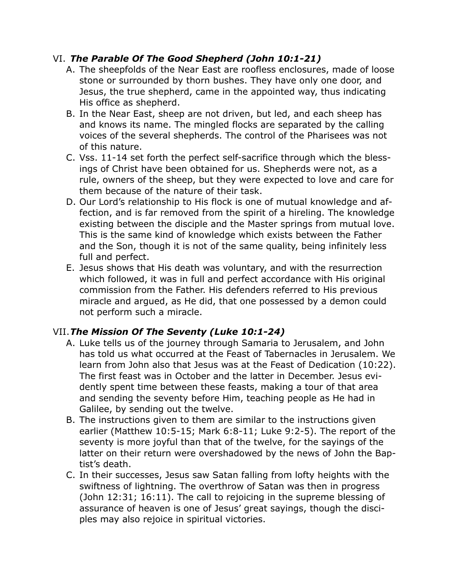## VI. *The Parable Of The Good Shepherd (John 10:1-21)*

- A. The sheepfolds of the Near East are roofless enclosures, made of loose stone or surrounded by thorn bushes. They have only one door, and Jesus, the true shepherd, came in the appointed way, thus indicating His office as shepherd.
- B. In the Near East, sheep are not driven, but led, and each sheep has and knows its name. The mingled flocks are separated by the calling voices of the several shepherds. The control of the Pharisees was not of this nature.
- C. Vss. 11-14 set forth the perfect self-sacrifice through which the blessings of Christ have been obtained for us. Shepherds were not, as a rule, owners of the sheep, but they were expected to love and care for them because of the nature of their task.
- D. Our Lord's relationship to His flock is one of mutual knowledge and affection, and is far removed from the spirit of a hireling. The knowledge existing between the disciple and the Master springs from mutual love. This is the same kind of knowledge which exists between the Father and the Son, though it is not of the same quality, being infinitely less full and perfect.
- E. Jesus shows that His death was voluntary, and with the resurrection which followed, it was in full and perfect accordance with His original commission from the Father. His defenders referred to His previous miracle and argued, as He did, that one possessed by a demon could not perform such a miracle.

# VII.*The Mission Of The Seventy (Luke 10:1-24)*

- A. Luke tells us of the journey through Samaria to Jerusalem, and John has told us what occurred at the Feast of Tabernacles in Jerusalem. We learn from John also that Jesus was at the Feast of Dedication (10:22). The first feast was in October and the latter in December. Jesus evidently spent time between these feasts, making a tour of that area and sending the seventy before Him, teaching people as He had in Galilee, by sending out the twelve.
- B. The instructions given to them are similar to the instructions given earlier (Matthew 10:5-15; Mark 6:8-11; Luke 9:2-5). The report of the seventy is more joyful than that of the twelve, for the sayings of the latter on their return were overshadowed by the news of John the Baptist's death.
- C. In their successes, Jesus saw Satan falling from lofty heights with the swiftness of lightning. The overthrow of Satan was then in progress (John 12:31; 16:11). The call to rejoicing in the supreme blessing of assurance of heaven is one of Jesus' great sayings, though the disciples may also rejoice in spiritual victories.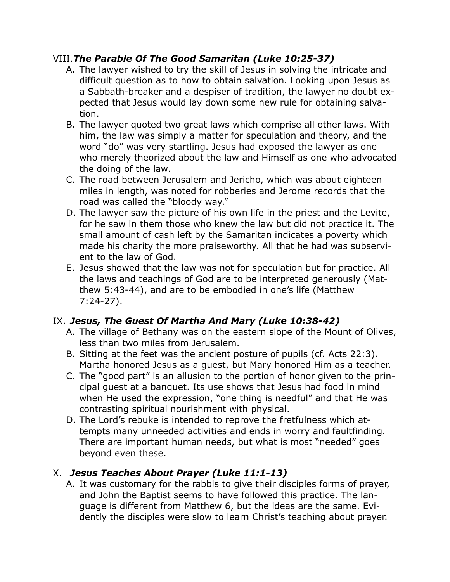## VIII.*The Parable Of The Good Samaritan (Luke 10:25-37)*

- A. The lawyer wished to try the skill of Jesus in solving the intricate and difficult question as to how to obtain salvation. Looking upon Jesus as a Sabbath-breaker and a despiser of tradition, the lawyer no doubt expected that Jesus would lay down some new rule for obtaining salvation.
- B. The lawyer quoted two great laws which comprise all other laws. With him, the law was simply a matter for speculation and theory, and the word "do" was very startling. Jesus had exposed the lawyer as one who merely theorized about the law and Himself as one who advocated the doing of the law.
- C. The road between Jerusalem and Jericho, which was about eighteen miles in length, was noted for robberies and Jerome records that the road was called the "bloody way."
- D. The lawyer saw the picture of his own life in the priest and the Levite, for he saw in them those who knew the law but did not practice it. The small amount of cash left by the Samaritan indicates a poverty which made his charity the more praiseworthy. All that he had was subservient to the law of God.
- E. Jesus showed that the law was not for speculation but for practice. All the laws and teachings of God are to be interpreted generously (Matthew 5:43-44), and are to be embodied in one's life (Matthew 7:24-27).

# IX. *Jesus, The Guest Of Martha And Mary (Luke 10:38-42)*

- A. The village of Bethany was on the eastern slope of the Mount of Olives, less than two miles from Jerusalem.
- B. Sitting at the feet was the ancient posture of pupils (cf. Acts 22:3). Martha honored Jesus as a guest, but Mary honored Him as a teacher.
- C. The "good part" is an allusion to the portion of honor given to the principal guest at a banquet. Its use shows that Jesus had food in mind when He used the expression, "one thing is needful" and that He was contrasting spiritual nourishment with physical.
- D. The Lord's rebuke is intended to reprove the fretfulness which attempts many unneeded activities and ends in worry and faultfinding. There are important human needs, but what is most "needed" goes beyond even these.

# X. *Jesus Teaches About Prayer (Luke 11:1-13)*

A. It was customary for the rabbis to give their disciples forms of prayer, and John the Baptist seems to have followed this practice. The language is different from Matthew 6, but the ideas are the same. Evidently the disciples were slow to learn Christ's teaching about prayer.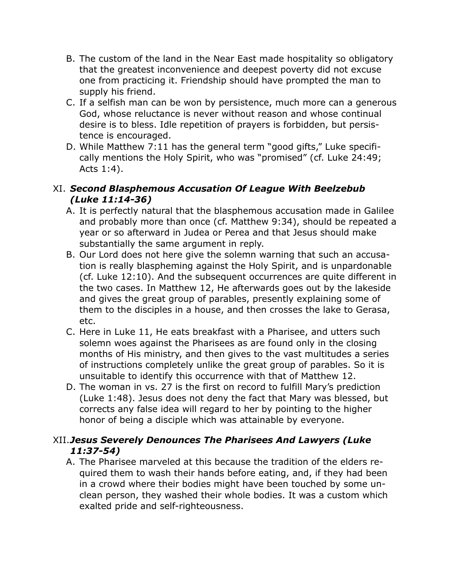- B. The custom of the land in the Near East made hospitality so obligatory that the greatest inconvenience and deepest poverty did not excuse one from practicing it. Friendship should have prompted the man to supply his friend.
- C. If a selfish man can be won by persistence, much more can a generous God, whose reluctance is never without reason and whose continual desire is to bless. Idle repetition of prayers is forbidden, but persistence is encouraged.
- D. While Matthew 7:11 has the general term "good gifts," Luke specifically mentions the Holy Spirit, who was "promised" (cf. Luke 24:49; Acts 1:4).

## XI. *Second Blasphemous Accusation Of League With Beelzebub (Luke 11:14-36)*

- A. It is perfectly natural that the blasphemous accusation made in Galilee and probably more than once (cf. Matthew 9:34), should be repeated a year or so afterward in Judea or Perea and that Jesus should make substantially the same argument in reply.
- B. Our Lord does not here give the solemn warning that such an accusation is really blaspheming against the Holy Spirit, and is unpardonable (cf. Luke 12:10). And the subsequent occurrences are quite different in the two cases. In Matthew 12, He afterwards goes out by the lakeside and gives the great group of parables, presently explaining some of them to the disciples in a house, and then crosses the lake to Gerasa, etc.
- C. Here in Luke 11, He eats breakfast with a Pharisee, and utters such solemn woes against the Pharisees as are found only in the closing months of His ministry, and then gives to the vast multitudes a series of instructions completely unlike the great group of parables. So it is unsuitable to identify this occurrence with that of Matthew 12.
- D. The woman in vs. 27 is the first on record to fulfill Mary's prediction (Luke 1:48). Jesus does not deny the fact that Mary was blessed, but corrects any false idea will regard to her by pointing to the higher honor of being a disciple which was attainable by everyone.

## XII.*Jesus Severely Denounces The Pharisees And Lawyers (Luke 11:37-54)*

A. The Pharisee marveled at this because the tradition of the elders required them to wash their hands before eating, and, if they had been in a crowd where their bodies might have been touched by some unclean person, they washed their whole bodies. It was a custom which exalted pride and self-righteousness.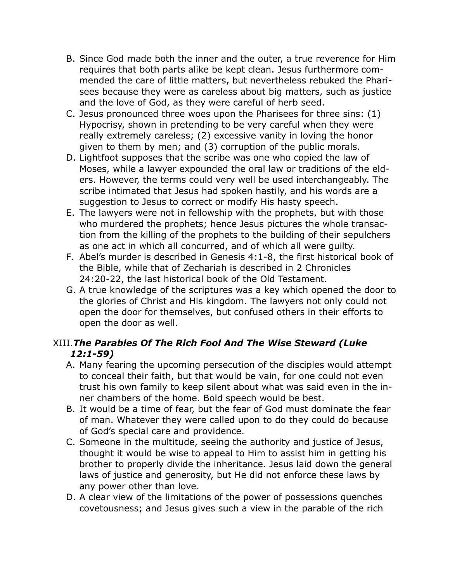- B. Since God made both the inner and the outer, a true reverence for Him requires that both parts alike be kept clean. Jesus furthermore commended the care of little matters, but nevertheless rebuked the Pharisees because they were as careless about big matters, such as justice and the love of God, as they were careful of herb seed.
- C. Jesus pronounced three woes upon the Pharisees for three sins: (1) Hypocrisy, shown in pretending to be very careful when they were really extremely careless; (2) excessive vanity in loving the honor given to them by men; and (3) corruption of the public morals.
- D. Lightfoot supposes that the scribe was one who copied the law of Moses, while a lawyer expounded the oral law or traditions of the elders. However, the terms could very well be used interchangeably. The scribe intimated that Jesus had spoken hastily, and his words are a suggestion to Jesus to correct or modify His hasty speech.
- E. The lawyers were not in fellowship with the prophets, but with those who murdered the prophets; hence Jesus pictures the whole transaction from the killing of the prophets to the building of their sepulchers as one act in which all concurred, and of which all were guilty.
- F. Abel's murder is described in Genesis 4:1-8, the first historical book of the Bible, while that of Zechariah is described in 2 Chronicles 24:20-22, the last historical book of the Old Testament.
- G. A true knowledge of the scriptures was a key which opened the door to the glories of Christ and His kingdom. The lawyers not only could not open the door for themselves, but confused others in their efforts to open the door as well.

# XIII.*The Parables Of The Rich Fool And The Wise Steward (Luke 12:1-59)*

- A. Many fearing the upcoming persecution of the disciples would attempt to conceal their faith, but that would be vain, for one could not even trust his own family to keep silent about what was said even in the inner chambers of the home. Bold speech would be best.
- B. It would be a time of fear, but the fear of God must dominate the fear of man. Whatever they were called upon to do they could do because of God's special care and providence.
- C. Someone in the multitude, seeing the authority and justice of Jesus, thought it would be wise to appeal to Him to assist him in getting his brother to properly divide the inheritance. Jesus laid down the general laws of justice and generosity, but He did not enforce these laws by any power other than love.
- D. A clear view of the limitations of the power of possessions quenches covetousness; and Jesus gives such a view in the parable of the rich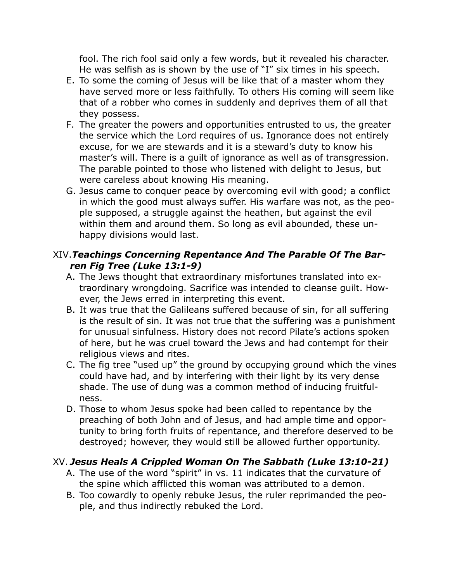fool. The rich fool said only a few words, but it revealed his character. He was selfish as is shown by the use of "I" six times in his speech.

- E. To some the coming of Jesus will be like that of a master whom they have served more or less faithfully. To others His coming will seem like that of a robber who comes in suddenly and deprives them of all that they possess.
- F. The greater the powers and opportunities entrusted to us, the greater the service which the Lord requires of us. Ignorance does not entirely excuse, for we are stewards and it is a steward's duty to know his master's will. There is a guilt of ignorance as well as of transgression. The parable pointed to those who listened with delight to Jesus, but were careless about knowing His meaning.
- G. Jesus came to conquer peace by overcoming evil with good; a conflict in which the good must always suffer. His warfare was not, as the people supposed, a struggle against the heathen, but against the evil within them and around them. So long as evil abounded, these unhappy divisions would last.

### XIV.*Teachings Concerning Repentance And The Parable Of The Barren Fig Tree (Luke 13:1-9)*

- A. The Jews thought that extraordinary misfortunes translated into extraordinary wrongdoing. Sacrifice was intended to cleanse guilt. However, the Jews erred in interpreting this event.
- B. It was true that the Galileans suffered because of sin, for all suffering is the result of sin. It was not true that the suffering was a punishment for unusual sinfulness. History does not record Pilate's actions spoken of here, but he was cruel toward the Jews and had contempt for their religious views and rites.
- C. The fig tree "used up" the ground by occupying ground which the vines could have had, and by interfering with their light by its very dense shade. The use of dung was a common method of inducing fruitfulness.
- D. Those to whom Jesus spoke had been called to repentance by the preaching of both John and of Jesus, and had ample time and opportunity to bring forth fruits of repentance, and therefore deserved to be destroyed; however, they would still be allowed further opportunity.

#### XV. *Jesus Heals A Crippled Woman On The Sabbath (Luke 13:10-21)*

- A. The use of the word "spirit" in vs. 11 indicates that the curvature of the spine which afflicted this woman was attributed to a demon.
- B. Too cowardly to openly rebuke Jesus, the ruler reprimanded the people, and thus indirectly rebuked the Lord.